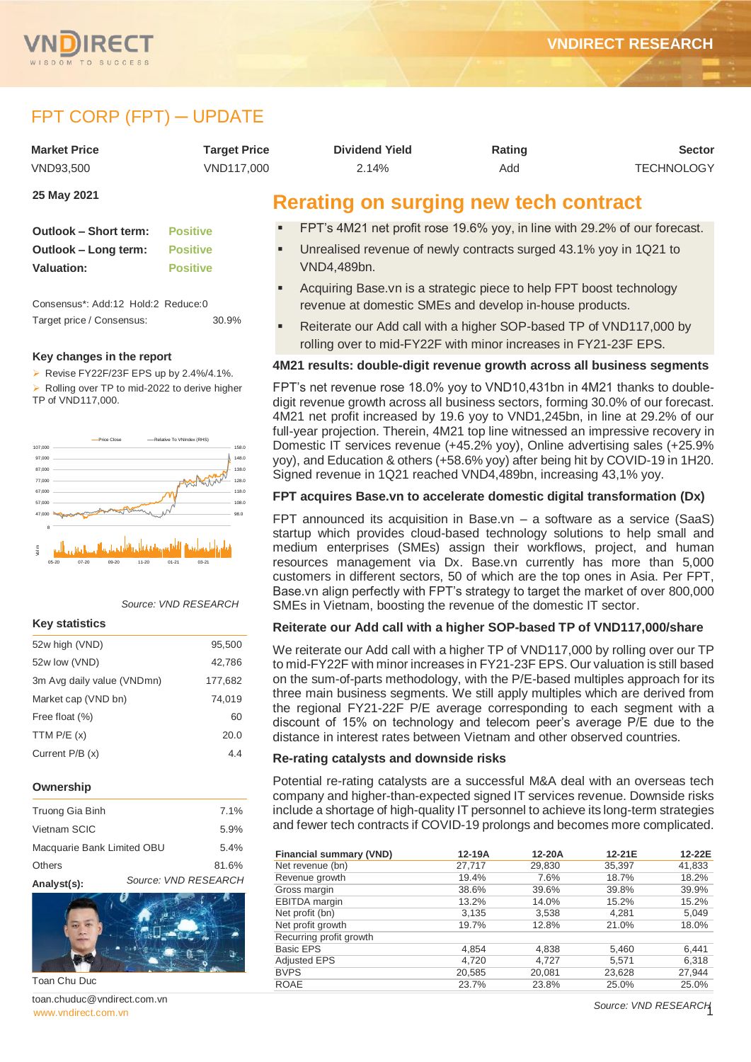

# FPT CORP (FPT) ─ UPDATE

| <b>Market Price</b>   | <b>Target Price</b> | <b>Dividend Yield</b>                                                     | Rating | <b>Sector</b>     |
|-----------------------|---------------------|---------------------------------------------------------------------------|--------|-------------------|
| VND93,500             | VND117,000          | 2.14%                                                                     | Add    | <b>TECHNOLOGY</b> |
| 25 May 2021           |                     | Rerating on surging new tech contract                                     |        |                   |
| Outlook – Short term: | <b>Positive</b>     | FPT's 4M21 net profit rose 19.6% yoy, in line with 29.2% of our forecast. |        |                   |

- Unrealised revenue of newly contracts surged 43.1% yoy in 1Q21 to VND4,489bn.
- Acquiring Base.vn is a strategic piece to help FPT boost technology revenue at domestic SMEs and develop in-house products.
- Reiterate our Add call with a higher SOP-based TP of VND117,000 by rolling over to mid-FY22F with minor increases in FY21-23F EPS.

### **4M21 results: double-digit revenue growth across all business segments**

FPT's net revenue rose 18.0% yoy to VND10,431bn in 4M21 thanks to doubledigit revenue growth across all business sectors, forming 30.0% of our forecast. 4M21 net profit increased by 19.6 yoy to VND1,245bn, in line at 29.2% of our full-year projection. Therein, 4M21 top line witnessed an impressive recovery in Domestic IT services revenue (+45.2% yoy), Online advertising sales (+25.9% yoy), and Education & others (+58.6% yoy) after being hit by COVID-19 in 1H20. Signed revenue in 1Q21 reached VND4,489bn, increasing 43,1% yoy.

### **FPT acquires Base.vn to accelerate domestic digital transformation (Dx)**

FPT announced its acquisition in Base.vn – a software as a service (SaaS) startup which provides cloud-based technology solutions to help small and medium enterprises (SMEs) assign their workflows, project, and human resources management via Dx. Base.vn currently has more than 5,000 customers in different sectors, 50 of which are the top ones in Asia. Per FPT, Base.vn align perfectly with FPT's strategy to target the market of over 800,000 SMEs in Vietnam, boosting the revenue of the domestic IT sector.

### **Reiterate our Add call with a higher SOP-based TP of VND117,000/share**

We reiterate our Add call with a higher TP of VND117,000 by rolling over our TP to mid-FY22F with minor increases in FY21-23F EPS. Our valuation is still based on the sum-of-parts methodology, with the P/E-based multiples approach for its three main business segments. We still apply multiples which are derived from the regional FY21-22F P/E average corresponding to each segment with a discount of 15% on technology and telecom peer's average P/E due to the distance in interest rates between Vietnam and other observed countries.

### **Re-rating catalysts and downside risks**

Potential re-rating catalysts are a successful M&A deal with an overseas tech company and higher-than-expected signed IT services revenue. Downside risks include a shortage of high-quality IT personnel to achieve its long-term strategies and fewer tech contracts if COVID-19 prolongs and becomes more complicated.

| <b>Financial summary (VND)</b> | 12-19A | 12-20A | 12-21E | 12-22E |
|--------------------------------|--------|--------|--------|--------|
| Net revenue (bn)               | 27,717 | 29,830 | 35,397 | 41,833 |
| Revenue growth                 | 19.4%  | 7.6%   | 18.7%  | 18.2%  |
| Gross margin                   | 38.6%  | 39.6%  | 39.8%  | 39.9%  |
| EBITDA margin                  | 13.2%  | 14.0%  | 15.2%  | 15.2%  |
| Net profit (bn)                | 3,135  | 3,538  | 4.281  | 5,049  |
| Net profit growth              | 19.7%  | 12.8%  | 21.0%  | 18.0%  |
| Recurring profit growth        |        |        |        |        |
| <b>Basic EPS</b>               | 4,854  | 4,838  | 5,460  | 6,441  |
| Adjusted EPS                   | 4,720  | 4,727  | 5,571  | 6,318  |
| <b>BVPS</b>                    | 20,585 | 20,081 | 23,628 | 27,944 |
| <b>ROAE</b>                    | 23.7%  | 23.8%  | 25.0%  | 25.0%  |

| <b>Outlook - Short term:</b> | <b>Positive</b> |
|------------------------------|-----------------|
| Outlook – Long term:         | <b>Positive</b> |
| Valuation:                   | <b>Positive</b> |

Consensus\*: Add:12 Hold:2 Reduce:0 Target price / Consensus: 30.9%

#### **Key changes in the report**

Revise FY22F/23F EPS up by  $2.4\%/4.1\%$ .  $\triangleright$  Rolling over TP to mid-2022 to derive higher TP of VND117,000.



#### *Source: VND RESEARCH*

#### **Key statistics**

| 52w high (VND)             | 95,500  |
|----------------------------|---------|
| 52w low (VND)              | 42,786  |
| 3m Avg daily value (VNDmn) | 177,682 |
| Market cap (VND bn)        | 74,019  |
| Free float (%)             | 60      |
| TTM $P/E(x)$               | 20.0    |
| Current $P/B(x)$           | 44      |
|                            |         |

#### **Ownership**

| Truong Gia Binh            |                      | 7.1%  |
|----------------------------|----------------------|-------|
| Vietnam SCIC               |                      | 5.9%  |
| Macquarie Bank Limited OBU |                      | 5.4%  |
| <b>Others</b>              |                      | 81.6% |
| Analyst(s):                | Source: VND RESEARCH |       |



Toan Chu Duc

www.vndirect.com.vr toan.chuduc@vndirect.com.vn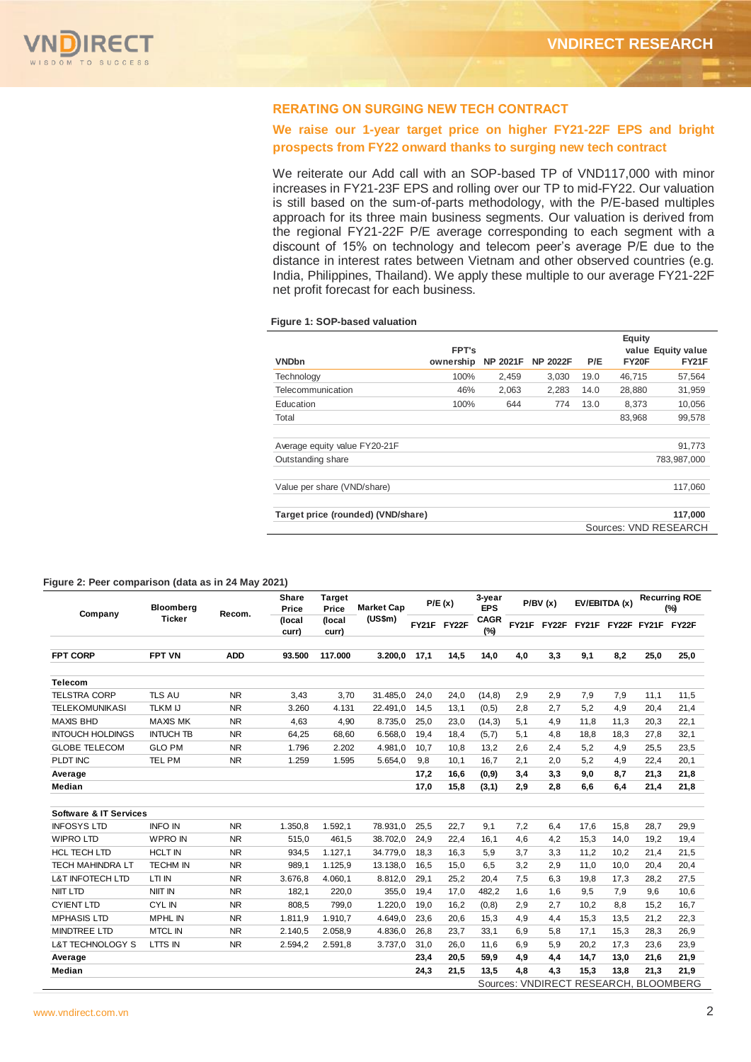## **RERATING ON SURGING NEW TECH CONTRACT**

## **We raise our 1-year target price on higher FY21-22F EPS and bright prospects from FY22 onward thanks to surging new tech contract**

We reiterate our Add call with an SOP-based TP of VND117,000 with minor increases in FY21-23F EPS and rolling over our TP to mid-FY22. Our valuation is still based on the sum-of-parts methodology, with the P/E-based multiples approach for its three main business segments. Our valuation is derived from the regional FY21-22F P/E average corresponding to each segment with a discount of 15% on technology and telecom peer's average P/E due to the distance in interest rates between Vietnam and other observed countries (e.g. India, Philippines, Thailand). We apply these multiple to our average FY21-22F net profit forecast for each business.

#### **Figure 1: SOP-based valuation**

|                                    |           |                 |                 |      | <b>Equity</b> |                       |
|------------------------------------|-----------|-----------------|-----------------|------|---------------|-----------------------|
|                                    | FPT's     |                 |                 |      |               | value Equity value    |
| <b>VNDbn</b>                       | ownership | <b>NP 2021F</b> | <b>NP 2022F</b> | P/E  | FY20F         | <b>FY21F</b>          |
| Technology                         | 100%      | 2.459           | 3.030           | 19.0 | 46,715        | 57,564                |
| Telecommunication                  | 46%       | 2,063           | 2,283           | 14.0 | 28,880        | 31,959                |
| Education                          | 100%      | 644             | 774             | 13.0 | 8,373         | 10,056                |
| Total                              |           |                 |                 |      | 83,968        | 99.578                |
| Average equity value FY20-21F      |           |                 |                 |      |               | 91,773                |
| Outstanding share                  |           |                 |                 |      |               | 783.987.000           |
| Value per share (VND/share)        |           |                 |                 |      |               | 117.060               |
| Target price (rounded) (VND/share) |           |                 |                 |      |               | 117,000               |
|                                    |           |                 |                 |      |               | Sources: VND RESEARCH |

#### **Figure 2: Peer comparison (data as in 24 May 2021)**

|                                                               |                  |                | <b>VNDbn</b>          |                             |                                    |      | ownership   | <b>NP 2021F</b>      |       | <b>NP 2022F</b> | P/E  |                         | FY20F | <b>FY21F</b>                          |
|---------------------------------------------------------------|------------------|----------------|-----------------------|-----------------------------|------------------------------------|------|-------------|----------------------|-------|-----------------|------|-------------------------|-------|---------------------------------------|
|                                                               |                  |                | Technology            |                             |                                    |      | 100%        |                      | 2,459 | 3,030           | 19.0 | 46,715                  |       | 57,564                                |
|                                                               |                  |                | Telecommunication     |                             |                                    |      | 46%         |                      | 2,063 | 2,283           | 14.0 | 28,880                  |       | 31,959                                |
|                                                               |                  |                | Education             |                             |                                    |      | 100%        |                      | 644   | 774             | 13.0 |                         | 8,373 | 10,056                                |
|                                                               |                  |                | Total                 |                             |                                    |      |             |                      |       |                 |      | 83,968                  |       | 99,578                                |
|                                                               |                  |                |                       |                             |                                    |      |             |                      |       |                 |      |                         |       |                                       |
|                                                               |                  |                |                       |                             | Average equity value FY20-21F      |      |             |                      |       |                 |      |                         |       | 91,773                                |
|                                                               |                  |                | Outstanding share     |                             |                                    |      |             |                      |       |                 |      |                         |       | 783,987,000                           |
|                                                               |                  |                |                       | Value per share (VND/share) |                                    |      |             |                      |       |                 |      |                         |       | 117,060                               |
|                                                               |                  |                |                       |                             | Target price (rounded) (VND/share) |      |             |                      |       |                 |      |                         |       | 117,000                               |
|                                                               |                  |                |                       |                             |                                    |      |             |                      |       |                 |      |                         |       | Sources: VND RESEARCH                 |
| -iqure 2: Peer comparison (data as in 24 May 2021)<br>Company | Bloomberg        | Recom.         | <b>Share</b><br>Price | Target<br>Price             | <b>Market Cap</b>                  |      | P/E(x)      | 3-year<br><b>EPS</b> |       | P/BV(x)         |      | EV/EBITDA (x)           |       | <b>Recurring ROE</b><br>$(\%)$        |
|                                                               | <b>Ticker</b>    |                | (local<br>curr)       | (local<br>curr)             | (US\$m)                            |      | FY21F FY22F | <b>CAGR</b><br>(%)   |       | FY21F FY22F     |      | FY21F FY22F FY21F FY22F |       |                                       |
| <b>FPT CORP</b>                                               | <b>FPT VN</b>    | <b>ADD</b>     | 93.500                | 117.000                     | 3.200,0                            | 17,1 | 14,5        | 14,0                 | 4,0   | 3,3             | 9,1  | 8,2                     | 25,0  | 25,0                                  |
| <b>Telecom</b>                                                |                  |                |                       |                             |                                    |      |             |                      |       |                 |      |                         |       |                                       |
| <b>TELSTRA CORP</b>                                           | <b>TLS AU</b>    | N <sub>R</sub> | 3,43                  | 3,70                        | 31.485,0                           | 24,0 | 24,0        | (14, 8)              | 2,9   | 2,9             | 7,9  | 7,9                     | 11,1  | 11,5                                  |
| <b>TELEKOMUNIKASI</b>                                         | <b>TLKM IJ</b>   | <b>NR</b>      | 3.260                 | 4.131                       | 22.491,0                           | 14,5 | 13,1        | (0,5)                | 2,8   | 2,7             | 5,2  | 4,9                     | 20,4  | 21,4                                  |
| <b>MAXIS BHD</b>                                              | <b>MAXIS MK</b>  | <b>NR</b>      | 4,63                  | 4,90                        | 8.735,0                            | 25,0 | 23,0        | (14,3)               | 5,1   | 4,9             | 11,8 | 11,3                    | 20,3  | 22,1                                  |
| <b>INTOUCH HOLDINGS</b>                                       | <b>INTUCH TB</b> | <b>NR</b>      | 64,25                 | 68,60                       | 6.568,0                            | 19,4 | 18,4        | (5,7)                | 5,1   | 4,8             | 18,8 | 18,3                    | 27,8  | 32,1                                  |
| <b>GLOBE TELECOM</b>                                          | <b>GLO PM</b>    | <b>NR</b>      | 1.796                 | 2.202                       | 4.981,0                            | 10,7 | 10,8        | 13,2                 | 2,6   | 2,4             | 5,2  | 4,9                     | 25,5  | 23,5                                  |
| PLDT INC                                                      | TEL PM           | <b>NR</b>      | 1.259                 | 1.595                       | 5.654,0                            | 9,8  | 10,1        | 16,7                 | 2,1   | 2,0             | 5,2  | 4,9                     | 22,4  | 20,1                                  |
| Average                                                       |                  |                |                       |                             |                                    | 17,2 | 16,6        | (0, 9)               | 3,4   | 3,3             | 9,0  | 8,7                     | 21,3  | 21,8                                  |
| Median                                                        |                  |                |                       |                             |                                    | 17,0 | 15,8        | (3,1)                | 2,9   | 2,8             | 6,6  | 6,4                     | 21,4  | 21,8                                  |
| <b>Software &amp; IT Services</b>                             |                  |                |                       |                             |                                    |      |             |                      |       |                 |      |                         |       |                                       |
| <b>INFOSYS LTD</b>                                            | <b>INFO IN</b>   | <b>NR</b>      | 1.350,8               | 1.592, 1                    | 78.931,0                           | 25,5 | 22,7        | 9,1                  | 7,2   | 6,4             | 17,6 | 15,8                    | 28,7  | 29,9                                  |
| <b>WIPRO LTD</b>                                              | <b>WPRO IN</b>   | <b>NR</b>      | 515,0                 | 461,5                       | 38.702,0                           | 24,9 | 22,4        | 16,1                 | 4,6   | 4,2             | 15,3 | 14,0                    | 19,2  | 19,4                                  |
| <b>HCL TECH LTD</b>                                           | <b>HCLT IN</b>   | <b>NR</b>      | 934,5                 | 1.127, 1                    | 34.779,0                           | 18,3 | 16,3        | 5,9                  | 3,7   | 3,3             | 11,2 | 10,2                    | 21,4  | 21,5                                  |
| TECH MAHINDRA LT                                              | <b>TECHM IN</b>  | <b>NR</b>      | 989,1                 | 1.125,9                     | 13.138,0                           | 16,5 | 15,0        | 6,5                  | 3,2   | 2,9             | 11,0 | 10,0                    | 20,4  | 20,4                                  |
| <b>L&amp;T INFOTECH LTD</b>                                   | LTI IN           | <b>NR</b>      | 3.676,8               | 4.060,1                     | 8.812,0                            | 29,1 | 25,2        | 20,4                 | 7,5   | 6,3             | 19,8 | 17,3                    | 28,2  | 27,5                                  |
| <b>NIIT LTD</b>                                               | NIIT IN          | <b>NR</b>      | 182,1                 | 220,0                       | 355,0                              | 19,4 | 17,0        | 482,2                | 1,6   | 1,6             | 9,5  | 7,9                     | 9,6   | 10,6                                  |
| <b>CYIENT LTD</b>                                             | <b>CYLIN</b>     | NR.            | 808,5                 | 799,0                       | 1.220,0                            | 19,0 | 16,2        | (0, 8)               | 2,9   | 2,7             | 10,2 | 8,8                     | 15,2  | 16,7                                  |
| <b>MPHASIS LTD</b>                                            | <b>MPHL IN</b>   | NR.            | 1.811,9               | 1.910,7                     | 4.649,0                            | 23,6 | 20,6        | 15,3                 | 4,9   | 4,4             | 15,3 | 13,5                    | 21,2  | 22,3                                  |
| <b>MINDTREE LTD</b>                                           | <b>MTCL IN</b>   | <b>NR</b>      | 2.140,5               | 2.058,9                     | 4.836,0                            | 26,8 | 23,7        | 33,1                 | 6,9   | 5,8             | 17,1 | 15,3                    | 28,3  | 26,9                                  |
| L&T TECHNOLOGY S                                              | LTTS IN          | <b>NR</b>      | 2.594,2               | 2.591,8                     | 3.737,0                            | 31,0 | 26,0        | 11,6                 | 6,9   | 5,9             | 20,2 | 17,3                    | 23,6  | 23,9                                  |
| Average                                                       |                  |                |                       |                             |                                    | 23,4 | 20,5        | 59,9                 | 4,9   | 4,4             | 14,7 | 13,0                    | 21,6  | 21,9                                  |
| Median                                                        |                  |                |                       |                             |                                    | 24,3 | 21,5        | 13,5                 | 4,8   | 4,3             | 15,3 | 13,8                    | 21,3  | 21,9                                  |
|                                                               |                  |                |                       |                             |                                    |      |             |                      |       |                 |      |                         |       | Sources: VNDIRECT RESEARCH, BLOOMBERG |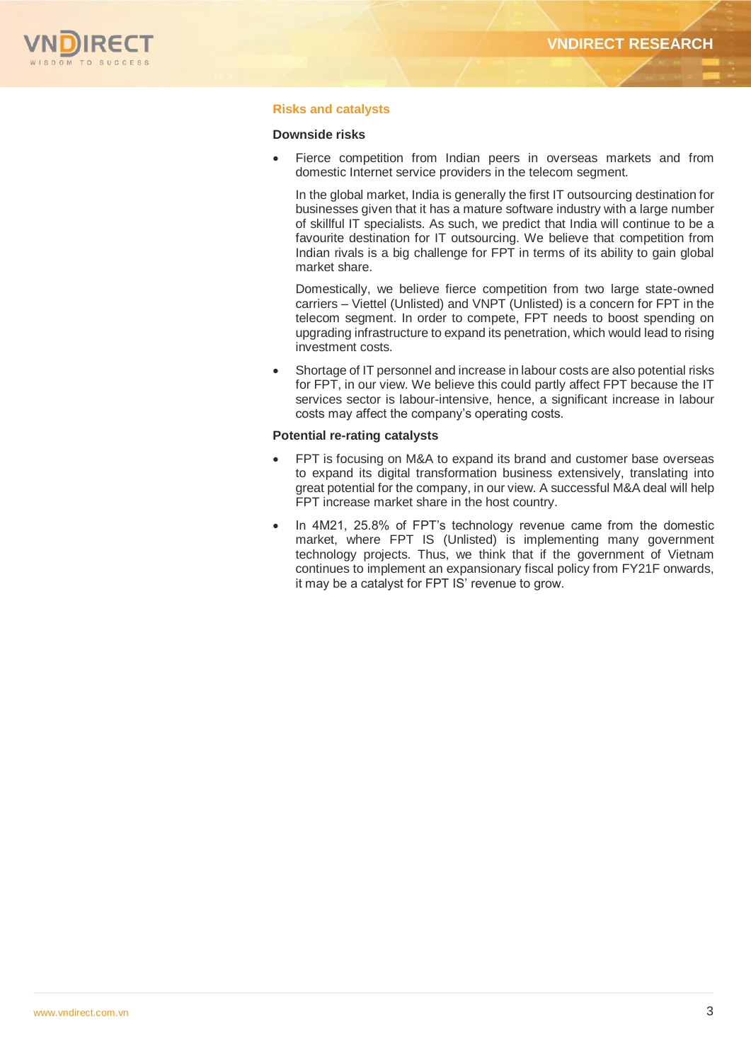

## **Risks and catalysts**

#### **Downside risks**

 Fierce competition from Indian peers in overseas markets and from domestic Internet service providers in the telecom segment.

In the global market, India is generally the first IT outsourcing destination for businesses given that it has a mature software industry with a large number of skillful IT specialists. As such, we predict that India will continue to be a favourite destination for IT outsourcing. We believe that competition from Indian rivals is a big challenge for FPT in terms of its ability to gain global market share.

Domestically, we believe fierce competition from two large state-owned carriers – Viettel (Unlisted) and VNPT (Unlisted) is a concern for FPT in the telecom segment. In order to compete, FPT needs to boost spending on upgrading infrastructure to expand its penetration, which would lead to rising investment costs.

 Shortage of IT personnel and increase in labour costs are also potential risks for FPT, in our view. We believe this could partly affect FPT because the IT services sector is labour-intensive, hence, a significant increase in labour costs may affect the company's operating costs.

#### **Potential re-rating catalysts**

- FPT is focusing on M&A to expand its brand and customer base overseas to expand its digital transformation business extensively, translating into great potential for the company, in our view. A successful M&A deal will help FPT increase market share in the host country.
- In 4M21, 25.8% of FPT's technology revenue came from the domestic market, where FPT IS (Unlisted) is implementing many government technology projects. Thus, we think that if the government of Vietnam continues to implement an expansionary fiscal policy from FY21F onwards, it may be a catalyst for FPT IS' revenue to grow.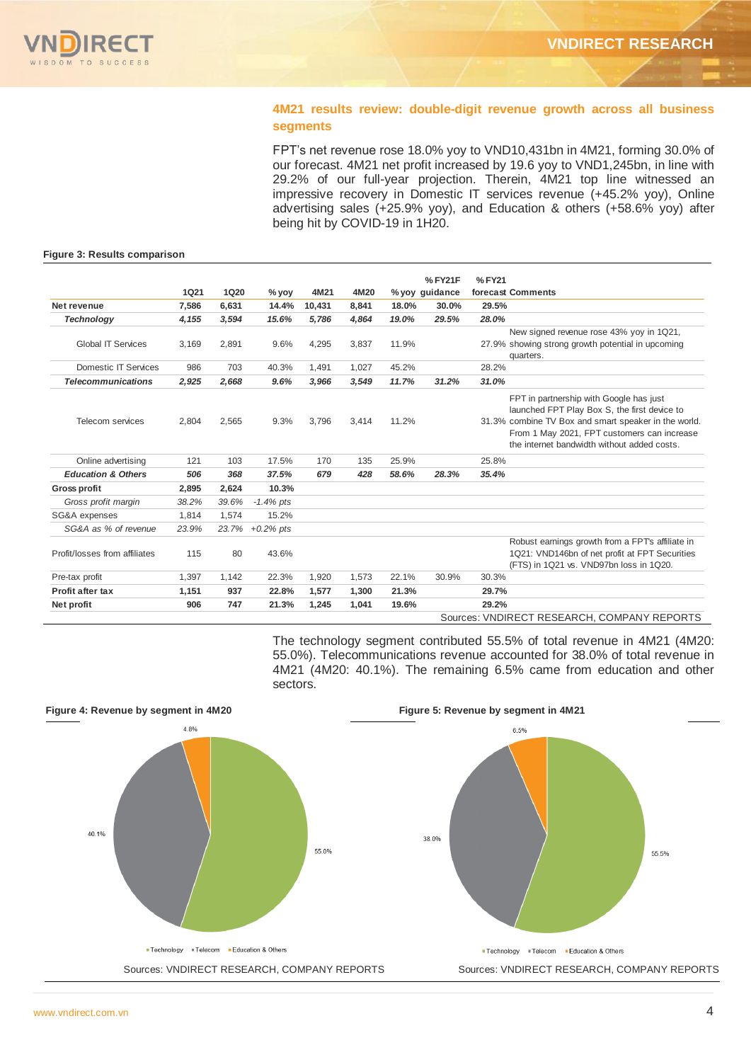## **4M21 results review: double-digit revenue growth across all business segments**

FPT's net revenue rose 18.0% yoy to VND10,431bn in 4M21, forming 30.0% of our forecast. 4M21 net profit increased by 19.6 yoy to VND1,245bn, in line with 29.2% of our full-year projection. Therein, 4M21 top line witnessed an impressive recovery in Domestic IT services revenue (+45.2% yoy), Online advertising sales (+25.9% yoy), and Education & others (+58.6% yoy) after being hit by COVID-19 in 1H20.

#### **Figure 3: Results comparison**

|                               |             |             |                 |        |       |       | %FY21F         | %FY21 |                                                                                                                                                                                                                                               |
|-------------------------------|-------------|-------------|-----------------|--------|-------|-------|----------------|-------|-----------------------------------------------------------------------------------------------------------------------------------------------------------------------------------------------------------------------------------------------|
|                               | <b>1Q21</b> | <b>1Q20</b> | $%$ yoy         | 4M21   | 4M20  |       | % yoy guidance |       | forecast Comments                                                                                                                                                                                                                             |
| Net revenue                   | 7,586       | 6.631       | 14.4%           | 10,431 | 8.841 | 18.0% | 30.0%          | 29.5% |                                                                                                                                                                                                                                               |
| <b>Technology</b>             | 4,155       | 3,594       | 15.6%           | 5,786  | 4,864 | 19.0% | 29.5%          | 28.0% |                                                                                                                                                                                                                                               |
| Global IT Services            | 3,169       | 2,891       | 9.6%            | 4,295  | 3,837 | 11.9% |                |       | New signed revenue rose 43% yoy in 1Q21,<br>27.9% showing strong growth potential in upcoming<br>quarters.                                                                                                                                    |
| Domestic IT Services          | 986         | 703         | 40.3%           | 1,491  | 1,027 | 45.2% |                | 28.2% |                                                                                                                                                                                                                                               |
| <b>Telecommunications</b>     | 2.925       | 2.668       | 9.6%            | 3,966  | 3.549 | 11.7% | 31.2%          | 31.0% |                                                                                                                                                                                                                                               |
| Telecom services              | 2,804       | 2,565       | 9.3%            | 3,796  | 3,414 | 11.2% |                |       | FPT in partnership with Google has just<br>launched FPT Play Box S, the first device to<br>31.3% combine TV Box and smart speaker in the world.<br>From 1 May 2021, FPT customers can increase<br>the internet bandwidth without added costs. |
| Online advertising            | 121         | 103         | 17.5%           | 170    | 135   | 25.9% |                | 25.8% |                                                                                                                                                                                                                                               |
| <b>Education &amp; Others</b> | 506         | 368         | 37.5%           | 679    | 428   | 58.6% | 28.3%          | 35.4% |                                                                                                                                                                                                                                               |
| Gross profit                  | 2,895       | 2,624       | 10.3%           |        |       |       |                |       |                                                                                                                                                                                                                                               |
| Gross profit margin           | 38.2%       | 39.6%       | $-1.4\%$ pts    |        |       |       |                |       |                                                                                                                                                                                                                                               |
| SG&A expenses                 | 1.814       | 1,574       | 15.2%           |        |       |       |                |       |                                                                                                                                                                                                                                               |
| SG&A as % of revenue          | 23.9%       |             | 23.7% +0.2% pts |        |       |       |                |       |                                                                                                                                                                                                                                               |
| Profit/losses from affiliates | 115         | 80          | 43.6%           |        |       |       |                |       | Robust earnings growth from a FPTs affiliate in<br>1Q21: VND146bn of net profit at FPT Securities<br>(FTS) in 1Q21 vs. VND97bn loss in 1Q20.                                                                                                  |
| Pre-tax profit                | 1,397       | 1,142       | 22.3%           | 1,920  | 1,573 | 22.1% | 30.9%          | 30.3% |                                                                                                                                                                                                                                               |
| Profit after tax              | 1,151       | 937         | 22.8%           | 1,577  | 1,300 | 21.3% |                | 29.7% |                                                                                                                                                                                                                                               |
| Net profit                    | 906         | 747         | 21.3%           | 1,245  | 1,041 | 19.6% |                | 29.2% |                                                                                                                                                                                                                                               |
|                               |             |             |                 |        |       |       |                |       | Sources: VNDIRECT RESEARCH, COMPANY REPORTS                                                                                                                                                                                                   |

The technology segment contributed 55.5% of total revenue in 4M21 (4M20: 55.0%). Telecommunications revenue accounted for 38.0% of total revenue in 4M21 (4M20: 40.1%). The remaining 6.5% came from education and other sectors.

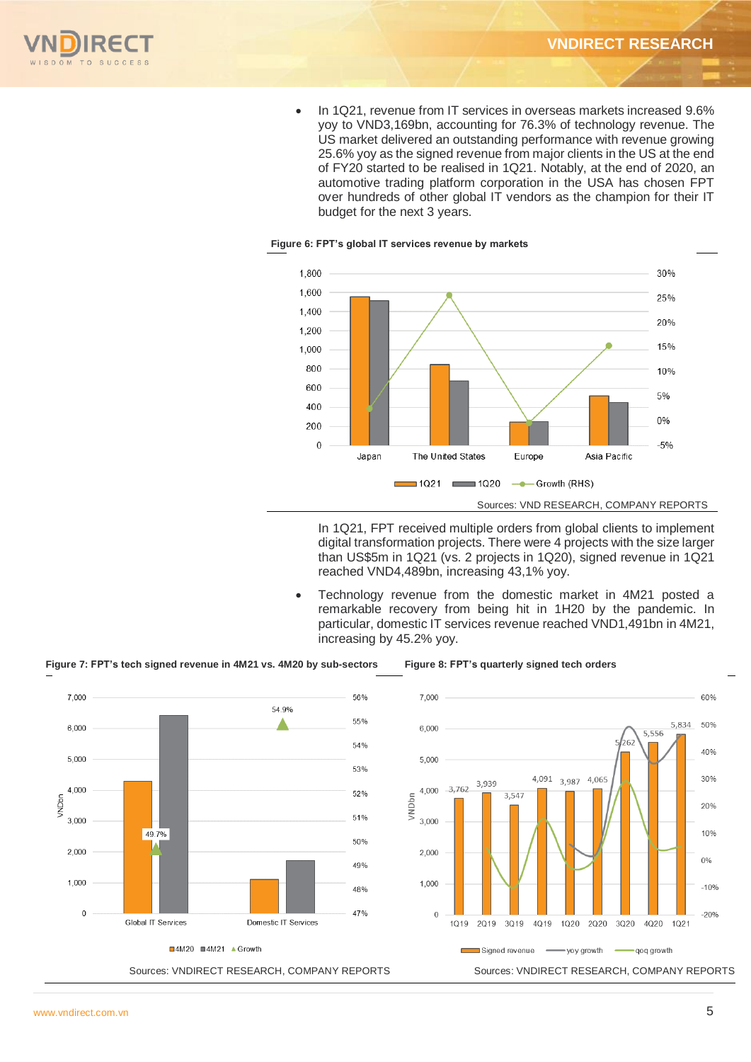

• In 1Q21, revenue from IT services in overseas markets increased 9.6% yoy to VND3,169bn, accounting for 76.3% of technology revenue. The US market delivered an outstanding performance with revenue growing 25.6% yoy as the signed revenue from major clients in the US at the end of FY20 started to be realised in 1Q21. Notably, at the end of 2020, an automotive trading platform corporation in the USA has chosen FPT over hundreds of other global IT vendors as the champion for their IT budget for the next 3 years.



#### **Figure 6: FPT's global IT services revenue by markets**

In 1Q21, FPT received multiple orders from global clients to implement digital transformation projects. There were 4 projects with the size larger than US\$5m in 1Q21 (vs. 2 projects in 1Q20), signed revenue in 1Q21 reached VND4,489bn, increasing 43,1% yoy.

 Technology revenue from the domestic market in 4M21 posted a remarkable recovery from being hit in 1H20 by the pandemic. In particular, domestic IT services revenue reached VND1,491bn in 4M21, increasing by 45.2% yoy.



**Figure 7: FPT's tech signed revenue in 4M21 vs. 4M20 by sub-sectors Figure 8: FPT's quarterly signed tech orders**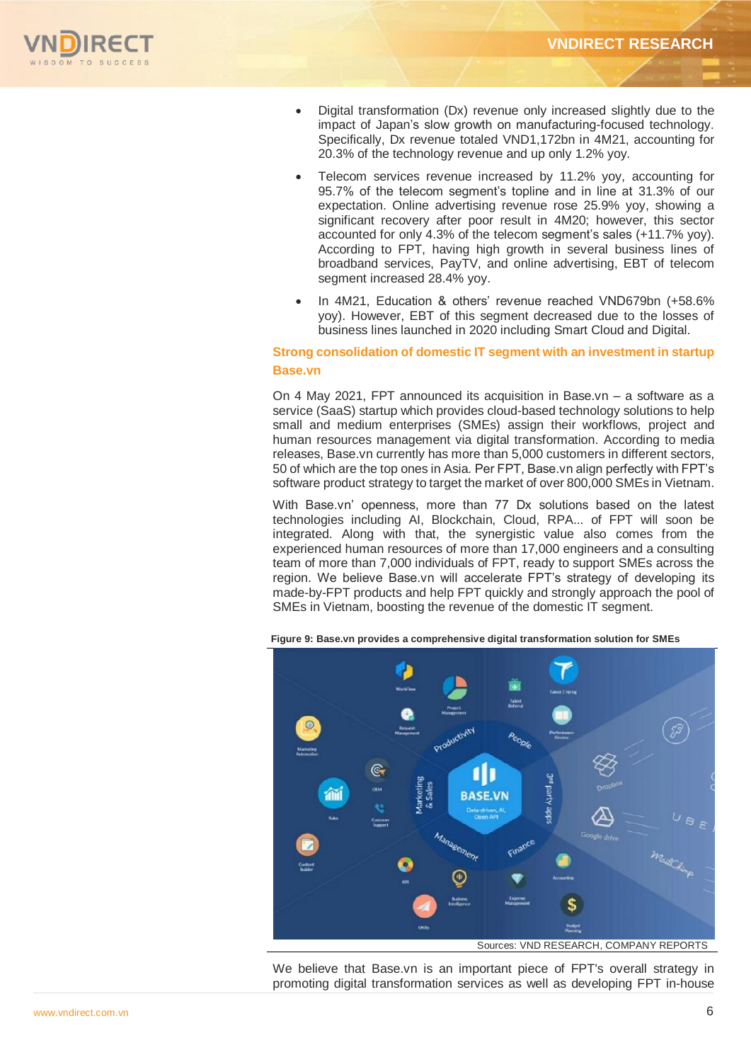

- Digital transformation (Dx) revenue only increased slightly due to the impact of Japan's slow growth on manufacturing-focused technology. Specifically, Dx revenue totaled VND1,172bn in 4M21, accounting for 20.3% of the technology revenue and up only 1.2% yoy.
- Telecom services revenue increased by 11.2% yoy, accounting for 95.7% of the telecom segment's topline and in line at 31.3% of our expectation. Online advertising revenue rose 25.9% yoy, showing a significant recovery after poor result in 4M20; however, this sector accounted for only 4.3% of the telecom segment's sales (+11.7% yoy). According to FPT, having high growth in several business lines of broadband services, PayTV, and online advertising, EBT of telecom segment increased 28.4% yoy.
- In 4M21, Education & others' revenue reached VND679bn (+58.6% yoy). However, EBT of this segment decreased due to the losses of business lines launched in 2020 including Smart Cloud and Digital.

## **Strong consolidation of domestic IT segment with an investment in startup Base.vn**

On 4 May 2021, FPT announced its acquisition in Base.vn – a software as a service (SaaS) startup which provides cloud-based technology solutions to help small and medium enterprises (SMEs) assign their workflows, project and human resources management via digital transformation. According to media releases, Base.vn currently has more than 5,000 customers in different sectors, 50 of which are the top ones in Asia. Per FPT, Base.vn align perfectly with FPT's software product strategy to target the market of over 800,000 SMEs in Vietnam.

With Base.vn' openness, more than 77 Dx solutions based on the latest technologies including AI, Blockchain, Cloud, RPA... of FPT will soon be integrated. Along with that, the synergistic value also comes from the experienced human resources of more than 17,000 engineers and a consulting team of more than 7,000 individuals of FPT, ready to support SMEs across the region. We believe Base.vn will accelerate FPT's strategy of developing its made-by-FPT products and help FPT quickly and strongly approach the pool of SMEs in Vietnam, boosting the revenue of the domestic IT segment.



**Figure 9: Base.vn provides a comprehensive digital transformation solution for SMEs**

We believe that Base.vn is an important piece of FPT's overall strategy in promoting digital transformation services as well as developing FPT in-house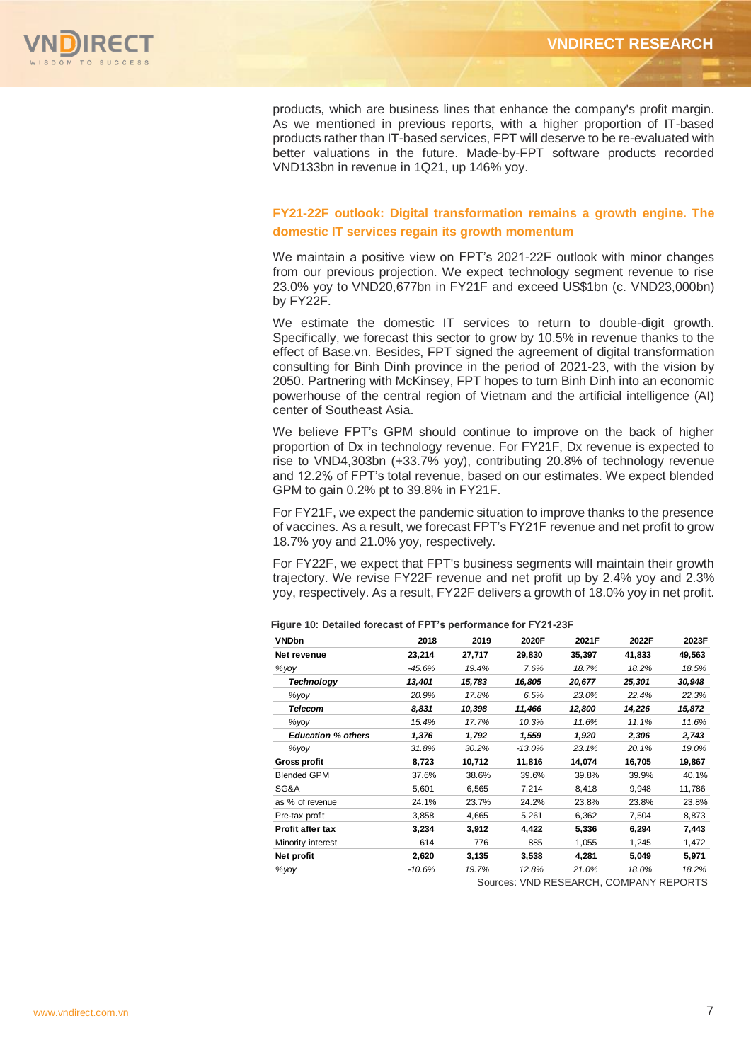

products, which are business lines that enhance the company's profit margin. As we mentioned in previous reports, with a higher proportion of IT-based products rather than IT-based services, FPT will deserve to be re-evaluated with better valuations in the future. Made-by-FPT software products recorded VND133bn in revenue in 1Q21, up 146% yoy.

## **FY21-22F outlook: Digital transformation remains a growth engine. The domestic IT services regain its growth momentum**

We maintain a positive view on FPT's 2021-22F outlook with minor changes from our previous projection. We expect technology segment revenue to rise 23.0% yoy to VND20,677bn in FY21F and exceed US\$1bn (c. VND23,000bn) by FY22F.

We estimate the domestic IT services to return to double-digit growth. Specifically, we forecast this sector to grow by 10.5% in revenue thanks to the effect of Base.vn. Besides, FPT signed the agreement of digital transformation consulting for Binh Dinh province in the period of 2021-23, with the vision by 2050. Partnering with McKinsey, FPT hopes to turn Binh Dinh into an economic powerhouse of the central region of Vietnam and the artificial intelligence (AI) center of Southeast Asia.

We believe FPT's GPM should continue to improve on the back of higher proportion of Dx in technology revenue. For FY21F, Dx revenue is expected to rise to VND4,303bn (+33.7% yoy), contributing 20.8% of technology revenue and 12.2% of FPT's total revenue, based on our estimates. We expect blended GPM to gain 0.2% pt to 39.8% in FY21F.

For FY21F, we expect the pandemic situation to improve thanks to the presence of vaccines. As a result, we forecast FPT's FY21F revenue and net profit to grow 18.7% yoy and 21.0% yoy, respectively.

For FY22F, we expect that FPT's business segments will maintain their growth trajectory. We revise FY22F revenue and net profit up by 2.4% yoy and 2.3% yoy, respectively. As a result, FY22F delivers a growth of 18.0% yoy in net profit.

| <b>VNDbn</b>              | 2018     | 2019   | 2020F    | 2021F  | 2022F                                  | 2023F  |
|---------------------------|----------|--------|----------|--------|----------------------------------------|--------|
| Net revenue               | 23,214   | 27,717 | 29,830   | 35,397 | 41,833                                 | 49,563 |
| %yoy                      | $-45.6%$ | 19.4%  | 7.6%     | 18.7%  | 18.2%                                  | 18.5%  |
| <b>Technology</b>         | 13,401   | 15,783 | 16,805   | 20,677 | 25,301                                 | 30,948 |
| $\%$ yoy                  | 20.9%    | 17.8%  | 6.5%     | 23.0%  | 22.4%                                  | 22.3%  |
| <b>Telecom</b>            | 8,831    | 10,398 | 11,466   | 12,800 | 14,226                                 | 15,872 |
| $%$ yoy                   | 15.4%    | 17.7%  | 10.3%    | 11.6%  | 11.1%                                  | 11.6%  |
| <b>Education % others</b> | 1,376    | 1,792  | 1,559    | 1,920  | 2,306                                  | 2,743  |
| $\%$ yoy                  | 31.8%    | 30.2%  | $-13.0%$ | 23.1%  | 20.1%                                  | 19.0%  |
| <b>Gross profit</b>       | 8,723    | 10,712 | 11,816   | 14,074 | 16,705                                 | 19,867 |
| <b>Blended GPM</b>        | 37.6%    | 38.6%  | 39.6%    | 39.8%  | 39.9%                                  | 40.1%  |
| SG&A                      | 5,601    | 6,565  | 7,214    | 8,418  | 9,948                                  | 11,786 |
| as % of revenue           | 24.1%    | 23.7%  | 24.2%    | 23.8%  | 23.8%                                  | 23.8%  |
| Pre-tax profit            | 3,858    | 4,665  | 5,261    | 6,362  | 7,504                                  | 8,873  |
| <b>Profit after tax</b>   | 3,234    | 3,912  | 4,422    | 5,336  | 6,294                                  | 7,443  |
| Minority interest         | 614      | 776    | 885      | 1,055  | 1,245                                  | 1,472  |
| Net profit                | 2,620    | 3,135  | 3,538    | 4,281  | 5,049                                  | 5,971  |
| %yoy                      | $-10.6%$ | 19.7%  | 12.8%    | 21.0%  | 18.0%                                  | 18.2%  |
|                           |          |        |          |        | Sources: VND RESEARCH, COMPANY REPORTS |        |

**Figure 10: Detailed forecast of FPT's performance for FY21-23F**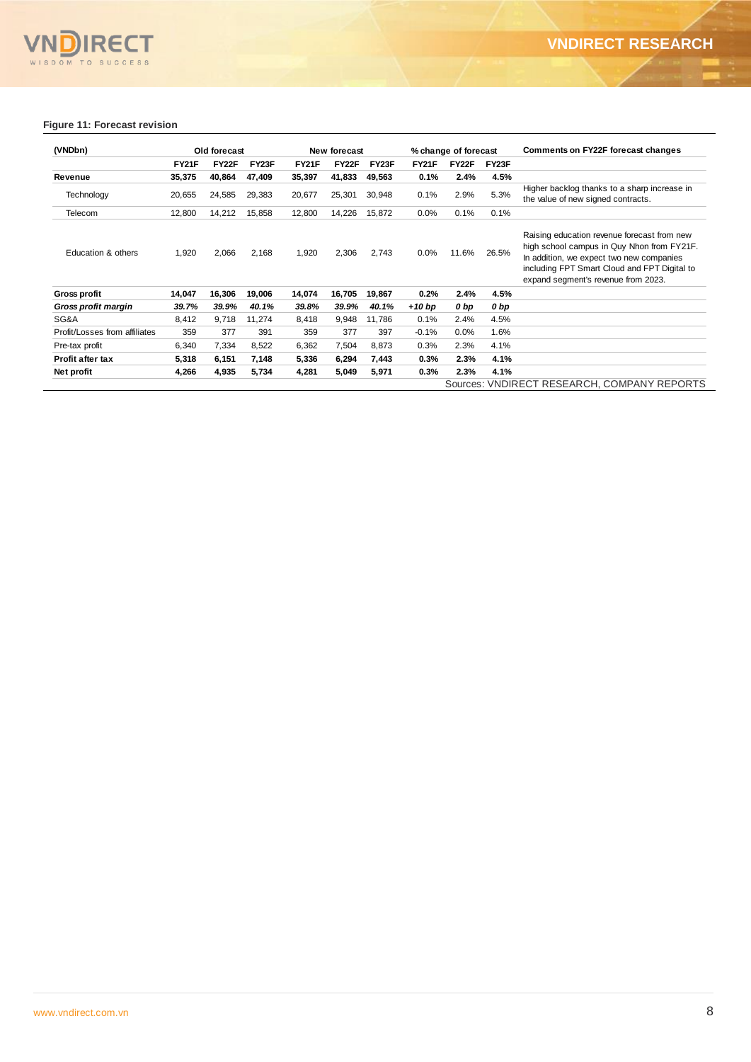## **VN** VNDIRECT

## **Figure 11: Forecast revision**

| (VNDbn)                       |              | Old forecast |        |              | New forecast |        |              | % change of forecast |       | <b>Comments on FY22F forecast changes</b>                                                                                                                                                                                    |
|-------------------------------|--------------|--------------|--------|--------------|--------------|--------|--------------|----------------------|-------|------------------------------------------------------------------------------------------------------------------------------------------------------------------------------------------------------------------------------|
|                               | <b>FY21F</b> | FY22F        | FY23F  | <b>FY21F</b> | <b>FY22F</b> | FY23F  | <b>FY21F</b> | FY22F                | FY23F |                                                                                                                                                                                                                              |
| Revenue                       | 35,375       | 40.864       | 47.409 | 35,397       | 41,833       | 49,563 | 0.1%         | 2.4%                 | 4.5%  |                                                                                                                                                                                                                              |
| Technology                    | 20,655       | 24,585       | 29,383 | 20,677       | 25,301       | 30,948 | 0.1%         | 2.9%                 | 5.3%  | Higher backlog thanks to a sharp increase in<br>the value of new signed contracts.                                                                                                                                           |
| Telecom                       | 12,800       | 14,212       | 15,858 | 12,800       | 14,226       | 15,872 | 0.0%         | 0.1%                 | 0.1%  |                                                                                                                                                                                                                              |
| Education & others            | 1,920        | 2,066        | 2,168  | 1,920        | 2,306        | 2,743  | 0.0%         | 11.6%                | 26.5% | Raising education revenue forecast from new<br>high school campus in Quy Nhon from FY21F.<br>In addition, we expect two new companies<br>including FPT Smart Cloud and FPT Digital to<br>expand segment's revenue from 2023. |
| <b>Gross profit</b>           | 14,047       | 16,306       | 19,006 | 14,074       | 16,705       | 19,867 | $0.2\%$      | 2.4%                 | 4.5%  |                                                                                                                                                                                                                              |
| Gross profit margin           | 39.7%        | 39.9%        | 40.1%  | 39.8%        | 39.9%        | 40.1%  | $+10$ bp     | 0 bp                 | 0 bp  |                                                                                                                                                                                                                              |
| SG&A                          | 8,412        | 9,718        | 11,274 | 8,418        | 9,948        | 11,786 | 0.1%         | 2.4%                 | 4.5%  |                                                                                                                                                                                                                              |
| Profit/Losses from affiliates | 359          | 377          | 391    | 359          | 377          | 397    | $-0.1%$      | $0.0\%$              | 1.6%  |                                                                                                                                                                                                                              |
| Pre-tax profit                | 6,340        | 7,334        | 8,522  | 6,362        | 7,504        | 8,873  | 0.3%         | 2.3%                 | 4.1%  |                                                                                                                                                                                                                              |
| <b>Profit after tax</b>       | 5,318        | 6,151        | 7,148  | 5,336        | 6,294        | 7,443  | 0.3%         | 2.3%                 | 4.1%  |                                                                                                                                                                                                                              |
| Net profit                    | 4,266        | 4,935        | 5,734  | 4,281        | 5,049        | 5,971  | 0.3%         | 2.3%                 | 4.1%  |                                                                                                                                                                                                                              |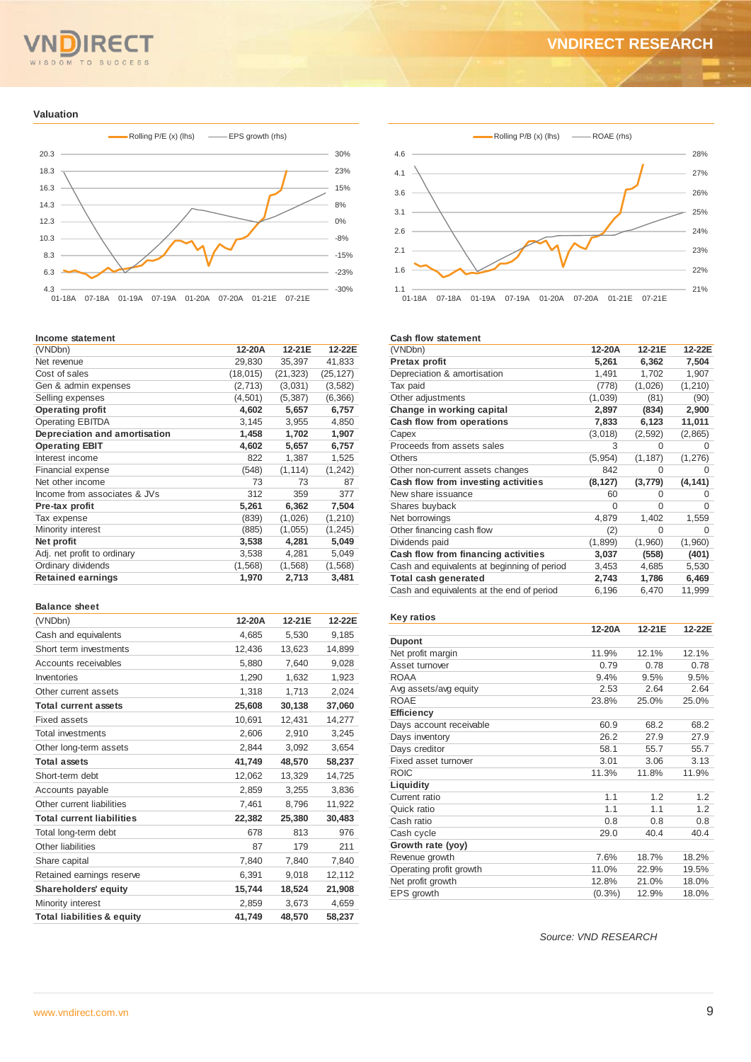## OM TO SUCCESS  $S<sub>D</sub>$

## **VNDIRECT RESEARCH**

#### **Valuation**



#### **Income statement**

| (VNDbn)                       | 12-20A    | 12-21E    | 12-22E    |
|-------------------------------|-----------|-----------|-----------|
| Net revenue                   | 29,830    | 35,397    | 41,833    |
| Cost of sales                 | (18, 015) | (21, 323) | (25, 127) |
| Gen & admin expenses          | (2,713)   | (3,031)   | (3,582)   |
| Selling expenses              | (4, 501)  | (5, 387)  | (6,366)   |
| <b>Operating profit</b>       | 4,602     | 5,657     | 6,757     |
| <b>Operating EBITDA</b>       | 3,145     | 3,955     | 4,850     |
| Depreciation and amortisation | 1,458     | 1,702     | 1,907     |
| <b>Operating EBIT</b>         | 4,602     | 5,657     | 6,757     |
| Interest income               | 822       | 1,387     | 1,525     |
| <b>Financial expense</b>      | (548)     | (1, 114)  | (1, 242)  |
| Net other income              | 73        | 73        | 87        |
| Income from associates & JVs  | 312       | 359       | 377       |
| Pre-tax profit                | 5,261     | 6,362     | 7,504     |
| Tax expense                   | (839)     | (1,026)   | (1, 210)  |
| Minority interest             | (885)     | (1,055)   | (1, 245)  |
| Net profit                    | 3,538     | 4,281     | 5,049     |
| Adj. net profit to ordinary   | 3,538     | 4,281     | 5,049     |
| Ordinary dividends            | (1,568)   | (1, 568)  | (1, 568)  |
| <b>Retained earnings</b>      | 1,970     | 2,713     | 3,481     |
|                               |           |           |           |

#### **Balance sheet**

| (VNDbn)                               | 12-20A | 12-21E | 12-22E |
|---------------------------------------|--------|--------|--------|
| Cash and equivalents                  | 4,685  | 5,530  | 9,185  |
| Short term investments                | 12,436 | 13,623 | 14,899 |
| Accounts receivables                  | 5,880  | 7,640  | 9,028  |
| Inventories                           | 1,290  | 1,632  | 1,923  |
| Other current assets                  | 1,318  | 1,713  | 2,024  |
| <b>Total current assets</b>           | 25,608 | 30,138 | 37,060 |
| Fixed assets                          | 10,691 | 12,431 | 14,277 |
| <b>Total investments</b>              | 2,606  | 2,910  | 3,245  |
| Other long-term assets                | 2,844  | 3,092  | 3,654  |
| <b>Total assets</b>                   | 41,749 | 48,570 | 58,237 |
| Short-term debt                       | 12,062 | 13,329 | 14,725 |
| Accounts payable                      | 2,859  | 3,255  | 3,836  |
| Other current liabilities             | 7,461  | 8,796  | 11,922 |
| <b>Total current liabilities</b>      | 22,382 | 25,380 | 30,483 |
| Total long-term debt                  | 678    | 813    | 976    |
| Other liabilities                     | 87     | 179    | 211    |
| Share capital                         | 7,840  | 7,840  | 7,840  |
| Retained earnings reserve             | 6,391  | 9,018  | 12,112 |
| <b>Shareholders' equity</b>           | 15,744 | 18,524 | 21,908 |
| Minority interest                     | 2,859  | 3,673  | 4,659  |
| <b>Total liabilities &amp; equity</b> | 41.749 | 48.570 | 58.237 |



#### **Cash flow statement**

| (VNDbn)                                     | 12-20A   | 12-21E   | 12-22E           |
|---------------------------------------------|----------|----------|------------------|
| Pretax profit                               | 5,261    | 6,362    | 7,504            |
| Depreciation & amortisation                 | 1,491    | 1,702    | 1,907            |
| Tax paid                                    | (778)    | (1,026)  | (1, 210)         |
| Other adjustments                           | (1,039)  | (81)     | (90)             |
| Change in working capital                   | 2,897    | (834)    | 2,900            |
| Cash flow from operations                   | 7,833    | 6,123    | 11,011           |
| Capex                                       | (3,018)  | (2,592)  | (2,865)          |
| Proceeds from assets sales                  | 3        | 0        | $\left( \right)$ |
| <b>Others</b>                               | (5, 954) | (1, 187) | (1, 276)         |
| Other non-current assets changes            | 842      | O        | 0                |
| Cash flow from investing activities         | (8, 127) | (3, 779) | (4, 141)         |
| New share issuance                          | 60       | O        | $^{(1)}$         |
| Shares buyback                              | 0        | 0        | 0                |
| Net borrowings                              | 4,879    | 1,402    | 1,559            |
| Other financing cash flow                   | (2)      | 0        | O                |
| Dividends paid                              | (1,899)  | (1,960)  | (1,960)          |
| Cash flow from financing activities         | 3,037    | (558)    | (401)            |
| Cash and equivalents at beginning of period | 3,453    | 4,685    | 5,530            |
| Total cash generated                        | 2,743    | 1,786    | 6,469            |
| Cash and equivalents at the end of period   | 6,196    | 6,470    | 11,999           |
|                                             |          |          |                  |

#### **Key ratios**

|                         | 12-20A | 12-21E | 12-22E |
|-------------------------|--------|--------|--------|
| <b>Dupont</b>           |        |        |        |
| Net profit margin       | 11.9%  | 12.1%  | 12.1%  |
| Asset turnover          | 0.79   | 0.78   | 0.78   |
| <b>ROAA</b>             | 9.4%   | 9.5%   | 9.5%   |
| Avg assets/avg equity   | 2.53   | 2.64   | 2.64   |
| <b>ROAE</b>             | 23.8%  | 25.0%  | 25.0%  |
| <b>Efficiency</b>       |        |        |        |
| Days account receivable | 60.9   | 68.2   | 68.2   |
| Days inventory          | 26.2   | 27.9   | 27.9   |
| Days creditor           | 58.1   | 55.7   | 55.7   |
| Fixed asset turnover    | 3.01   | 3.06   | 3.13   |
| <b>ROIC</b>             | 11.3%  | 11.8%  | 11.9%  |
| Liquidity               |        |        |        |
| Current ratio           | 1.1    | 1.2    | 1.2    |
| Quick ratio             | 1.1    | 1.1    | 1.2    |
| Cash ratio              | 0.8    | 0.8    | 0.8    |
| Cash cycle              | 29.0   | 40.4   | 40.4   |
| Growth rate (yoy)       |        |        |        |
| Revenue growth          | 7.6%   | 18.7%  | 18.2%  |
| Operating profit growth | 11.0%  | 22.9%  | 19.5%  |
| Net profit growth       | 12.8%  | 21.0%  | 18.0%  |
| <b>EPS</b> growth       | (0.3%  | 12.9%  | 18.0%  |

*Source: VND RESEARCH*